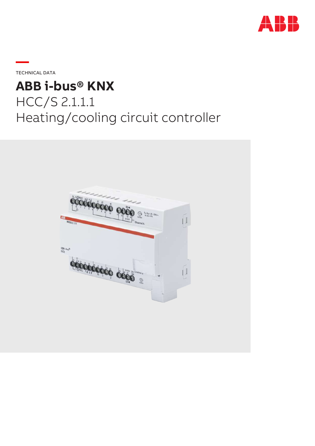

**—**TECHNICAL DATA

# **ABB i-bus® KNX** HCC/S 2.1.1.1 Heating/cooling circuit controller

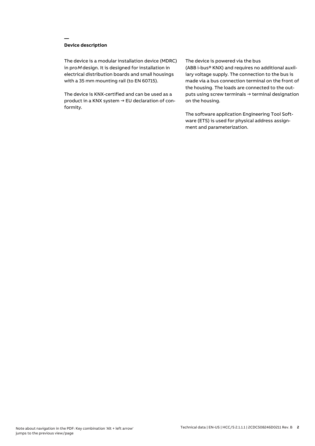## **Device description**

**—**

The device is a modular installation device (MDRC) in proM design. It is designed for installation in electrical distribution boards and small housings with a 35 mm mounting rail (to EN 60715).

The device is KNX-certified and can be used as a product in a KNX system → EU declaration of conformity.

#### The device is powered via the bus

(ABB i-bus® KNX) and requires no additional auxiliary voltage supply. The connection to the bus is made via a bus connection terminal on the front of the housing. The loads are connected to the outputs using screw terminals → terminal designation on the housing.

The software application Engineering Tool Software (ETS) is used for physical address assignment and parameterization.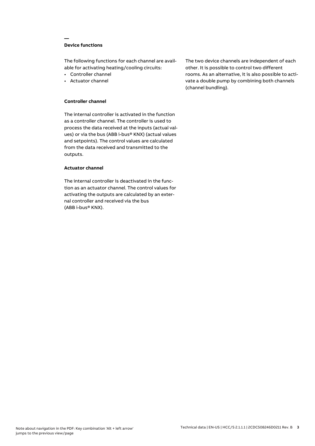## **Device functions**

**—**

The following functions for each channel are available for activating heating/cooling circuits:

- Controller channel
- Actuator channel

## **Controller channel**

The internal controller is activated in the function as a controller channel. The controller is used to process the data received at the inputs (actual values) or via the bus (ABB i-bus® KNX) (actual values and setpoints). The control values are calculated from the data received and transmitted to the outputs.

#### **Actuator channel**

The internal controller is deactivated in the function as an actuator channel. The control values for activating the outputs are calculated by an external controller and received via the bus (ABB i-bus® KNX).

The two device channels are independent of each other. It is possible to control two different rooms. As an alternative, it is also possible to activate a double pump by combining both channels (channel bundling).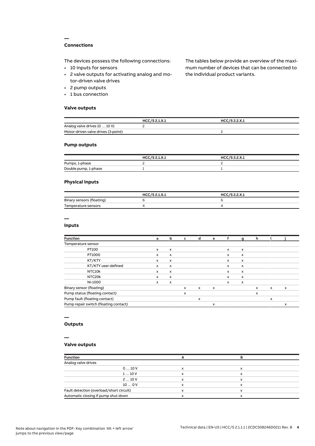## **Connections**

**—**

The devices possess the following connections:

- 10 inputs for sensors
- 2 valve outputs for activating analog and motor-driven valve drives
- 2 pump outputs
- 1 bus connection

#### **Valve outputs**

The tables below provide an overview of the maximum number of devices that can be connected to the individual product variants.

|                                     | HCC/S 2.1.X.1 | HCC/S 2.2.X.1 |  |
|-------------------------------------|---------------|---------------|--|
| Analog valve drives (0  10 V)       |               |               |  |
| Motor-driven valve drives (3-point) |               |               |  |

## **Pump outputs**

|                      | HCC/S 2.1.X.1 | HCC/S 2.2.X.1 |
|----------------------|---------------|---------------|
| Pumps, 1-phase       |               |               |
| Double pump, 1-phase |               |               |

## **Physical inputs**

|                           | HCC/S 2.1.X.1 | HCC/S 2.2.X.1 |
|---------------------------|---------------|---------------|
| Binary sensors (floating) |               |               |
| Temperature sensors       |               |               |

# **—**

#### **Inputs**

| <b>Function</b>                       | a            | b                         | c            | d            | e                         |              | g                         | h |              |                           |
|---------------------------------------|--------------|---------------------------|--------------|--------------|---------------------------|--------------|---------------------------|---|--------------|---------------------------|
| Temperature sensor                    |              |                           |              |              |                           |              |                           |   |              |                           |
| PT100                                 | $\mathsf{x}$ | $\boldsymbol{\mathsf{x}}$ |              |              |                           | $\mathsf{x}$ | $\boldsymbol{\mathsf{x}}$ |   |              |                           |
| PT1000                                | $\times$     | $\mathsf{x}$              |              |              |                           | $\mathsf{x}$ | $\boldsymbol{\mathsf{x}}$ |   |              |                           |
| KT/KTY                                | x            | x                         |              |              |                           | X            | x                         |   |              |                           |
| KT/KTY user-defined                   | $\mathsf{x}$ | x                         |              |              |                           | $\mathsf{x}$ | x                         |   |              |                           |
| NTC10k                                | x            | x                         |              |              |                           | X            | $\boldsymbol{\mathsf{x}}$ |   |              |                           |
| NTC20k                                | $\times$     | $\mathsf{x}$              |              |              |                           | $\mathsf{x}$ | x                         |   |              |                           |
| NI-1000                               | x            | x                         |              |              |                           | $\mathsf{x}$ | x                         |   |              |                           |
| Binary sensor (floating)              |              |                           | $\mathsf{x}$ | $\mathsf{x}$ | $\boldsymbol{\mathsf{x}}$ |              |                           | x | $\mathsf{x}$ | $\boldsymbol{\mathsf{x}}$ |
| Pump status (floating contact)        |              |                           | X            |              |                           |              |                           | x |              |                           |
| Pump fault (floating contact)         |              |                           |              | x            |                           |              |                           |   | x            |                           |
| Pump repair switch (floating contact) |              |                           |              |              | x                         |              |                           |   |              | x                         |

# **—**

# **Outputs**

#### **—**

## **Valve outputs**

| <b>Function</b>                          |              |   |  |
|------------------------------------------|--------------|---|--|
| Analog valve drives                      |              |   |  |
| 010V                                     | $\checkmark$ | x |  |
| 110V                                     |              | x |  |
| 210V                                     |              | х |  |
| 100V                                     | $\check{ }$  | x |  |
| Fault detection (overload/short circuit) |              | ᄉ |  |
| Automatic closing if pump shut down      |              |   |  |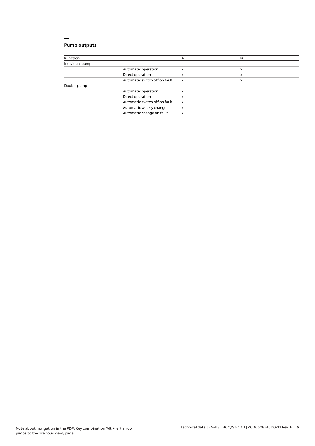# **Pump outputs**

| <b>Function</b> |                               | А                         | в |  |
|-----------------|-------------------------------|---------------------------|---|--|
| Individual pump |                               |                           |   |  |
|                 | Automatic operation           | x                         | x |  |
|                 | Direct operation              | x                         | x |  |
|                 | Automatic switch off on fault | $\boldsymbol{\mathsf{x}}$ | x |  |
| Double pump     |                               |                           |   |  |
|                 | Automatic operation           | x                         |   |  |
|                 | Direct operation              | x                         |   |  |
|                 | Automatic switch off on fault | $\boldsymbol{\mathsf{x}}$ |   |  |
|                 | Automatic weekly change       | x                         |   |  |
|                 | Automatic change on fault     | x                         |   |  |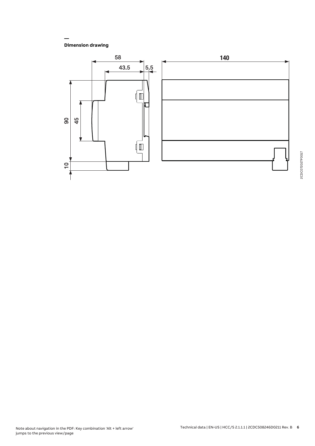**Dimension drawing**

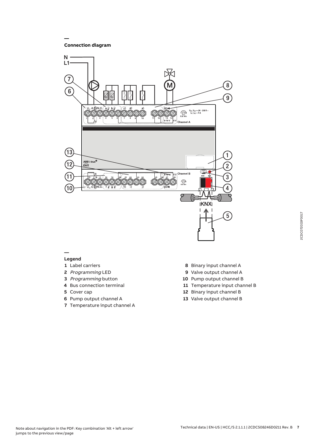**Connection diagram**

**—**



#### **— Legend**

- Label carriers
- Programming LED
- Programming button
- Bus connection terminal
- Cover cap
- Pump output channel A
- Temperature input channel A
- Binary input channel A
- Valve output channel A
- Pump output channel B
- Temperature input channel B
- Binary input channel B
- Valve output channel B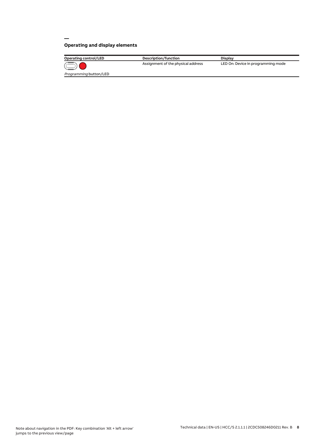# **Operating and display elements**

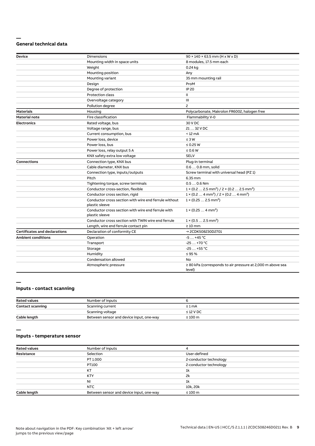#### **— General technical data**

| Device                               | Dimensions                                                              | $90 \times 140 \times 63.5$ mm (H x W x D)                                        |
|--------------------------------------|-------------------------------------------------------------------------|-----------------------------------------------------------------------------------|
|                                      | Mounting width in space units                                           | 8 modules, 17.5 mm each                                                           |
|                                      | Weight                                                                  | 0.24 kg                                                                           |
|                                      | Mounting position                                                       | Any                                                                               |
|                                      | Mounting variant                                                        | 35 mm mounting rail                                                               |
|                                      | Design                                                                  | ProM                                                                              |
|                                      | Degree of protection                                                    | <b>IP 20</b>                                                                      |
|                                      | <b>Protection class</b>                                                 | Ш                                                                                 |
|                                      | Overvoltage category                                                    | III                                                                               |
|                                      | Pollution degree                                                        | $\overline{c}$                                                                    |
| <b>Materials</b>                     | Housing                                                                 | Polycarbonate, Makrolon FR6002, halogen free                                      |
| <b>Material note</b>                 | Fire classification                                                     | Flammability V-0                                                                  |
| <b>Electronics</b>                   | Rated voltage, bus                                                      | 30 V DC                                                                           |
|                                      | Voltage range, bus                                                      | 21  32 V DC                                                                       |
|                                      | Current consumption, bus                                                | $< 12 \text{ mA}$                                                                 |
|                                      | Power loss, device                                                      | $\leq 3 W$                                                                        |
|                                      | Power loss, bus                                                         | $\leq$ 0.25 W                                                                     |
|                                      | Power loss, relay output 5 A                                            | $\leq 0.6 W$                                                                      |
|                                      | KNX safety extra low voltage                                            | <b>SELV</b>                                                                       |
| <b>Connections</b>                   | Connection type, KNX bus                                                | Plug-in terminal                                                                  |
|                                      | Cable diameter, KNX bus                                                 | 0.6  0.8 mm, solid                                                                |
|                                      | Connection type, inputs/outputs                                         | Screw terminal with universal head (PZ 1)                                         |
|                                      | Pitch                                                                   | 6.35 mm                                                                           |
|                                      | Tightening torque, screw terminals                                      | $0.50.6$ Nm                                                                       |
|                                      | Conductor cross-section, flexible                                       | $1 \times (0.2 \ldots 2.5 \text{ mm}^2) / 2 \times (0.2 \ldots 2.5 \text{ mm}^2)$ |
|                                      | Conductor cross section, rigid                                          | $1 \times (0.2 \ldots 4 \text{ mm}^2) / 2 \times (0.2 \ldots 4 \text{ mm}^2)$     |
|                                      | Conductor cross section with wire end ferrule without<br>plastic sleeve | $1 \times (0.252.5 \text{ mm}^2)$                                                 |
|                                      | Conductor cross section with wire end ferrule with<br>plastic sleeve    | $1 \times (0.254 \text{ mm}^2)$                                                   |
|                                      | Conductor cross section with TWIN wire end ferrule                      | $1 \times (0.52.5)$ mm <sup>2</sup> )                                             |
|                                      | Length, wire end ferrule contact pin                                    | $\geq 10$ mm                                                                      |
| <b>Certificates and declarations</b> | Declaration of conformity CE                                            | → 2CDK508230D2701                                                                 |
| <b>Ambient conditions</b>            | Operation                                                               | $-5+45$ °C                                                                        |
|                                      | Transport                                                               | $-25+70 °C$                                                                       |
|                                      | Storage                                                                 | $-25+55$ °C                                                                       |
|                                      | Humidity                                                                | $\leq$ 95 %                                                                       |
|                                      | Condensation allowed                                                    | No                                                                                |
|                                      | Atmospheric pressure                                                    | $\geq$ 80 kPa (corresponds to air pressure at 2,000 m above sea<br>level)         |

#### **—**

## **Inputs - contact scanning**

| <b>Rated values</b>     | Number of inputs                         |                |
|-------------------------|------------------------------------------|----------------|
| <b>Contact scanning</b> | Scanning current                         | $\leq 1$ mA    |
|                         | Scanning voltage                         | $\leq$ 12 V DC |
| Cable length            | Between sensor and device input, one-way | $\leq 100$ m   |

**—**

## **Inputs - temperature sensor**

| <b>Rated values</b> | Number of inputs                         |                        |
|---------------------|------------------------------------------|------------------------|
| Resistance          | Selection                                | User-defined           |
|                     | PT 1.000                                 | 2-conductor technology |
|                     | PT100                                    | 2-conductor technology |
|                     | KT                                       | 1k                     |
|                     | <b>KTY</b>                               | 2k                     |
|                     | <b>NI</b>                                | 1k                     |
|                     | NTC                                      | 10k, 20k               |
| Cable length        | Between sensor and device input, one-way | $\leq 100$ m           |
|                     |                                          |                        |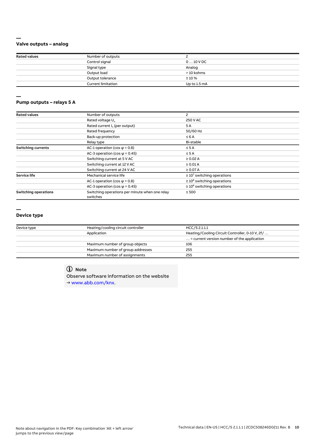## **Valve outputs – analog**

**—**

**—**

| <b>Rated values</b> | Number of outputs         |              |  |
|---------------------|---------------------------|--------------|--|
|                     | Control signal            | $010$ V DC   |  |
|                     | Signal type               | Analog       |  |
|                     | Output load               | > 10 kohms   |  |
|                     | Output tolerance          | ±10%         |  |
|                     | <b>Current limitation</b> | Up to 1.5 mA |  |

#### **Pump outputs – relays 5 A**

| <b>Rated values</b>         | Number of outputs                                          | 2                                |
|-----------------------------|------------------------------------------------------------|----------------------------------|
|                             | Rated voltage U <sub>n</sub>                               | 250 V AC                         |
|                             | Rated current I <sub>n</sub> (per output)                  | 5A                               |
|                             | Rated frequency                                            | 50/60 Hz                         |
|                             | Back-up protection                                         | $\leq 6$ A                       |
|                             | Relay type                                                 | Bi-stable                        |
| <b>Switching currents</b>   | AC-1 operation (cos $\varphi$ = 0.8)                       | $\leq$ 5 A                       |
|                             | AC-3 operation (cos $\varphi$ = 0.45)                      | $\leq$ 5 A                       |
|                             | Switching current at 5 V AC                                | $\geq 0.02$ A                    |
|                             | Switching current at 12 V AC                               | $\geq 0.01$ A                    |
|                             | Switching current at 24 V AC                               | $\geq$ 0.07 A                    |
| <b>Service life</b>         | Mechanical service life                                    | $\geq 10^7$ switching operations |
|                             | AC-1 operation (cos $\varphi$ = 0.8)                       | $\geq 10^6$ switching operations |
|                             | AC-3 operation (cos $\varphi$ = 0.45)                      | $\geq 10^6$ switching operations |
| <b>Switching operations</b> | Switching operations per minute when one relay<br>switches | $\leq 500$                       |

#### **—**

#### **Device type**

| Device type | Heating/cooling circuit controller | HCC/S 2.1.1.1                                        |
|-------------|------------------------------------|------------------------------------------------------|
| Application |                                    | Heating/Cooling Circuit Controller, 0-10 V, 2f/      |
|             |                                    | $\ldots$ = current version number of the application |
|             | Maximum number of group objects    | 106                                                  |
|             | Maximum number of group addresses  | 255                                                  |
|             | Maximum number of assignments      | 255                                                  |

# **Note**

Observe software information on the website → www.abb.com/knx.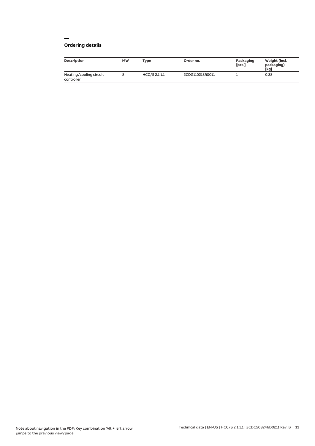# **Ordering details**

| Description                           | <b>MW</b> | <b>Type</b>   | Order no.       | Packaging<br>[pcs.] | Weight (incl.<br>packaging)<br>[kg] |
|---------------------------------------|-----------|---------------|-----------------|---------------------|-------------------------------------|
| Heating/cooling circuit<br>controller |           | HCC/S 2.1.1.1 | 2CDG110218R0011 |                     | 0.28                                |